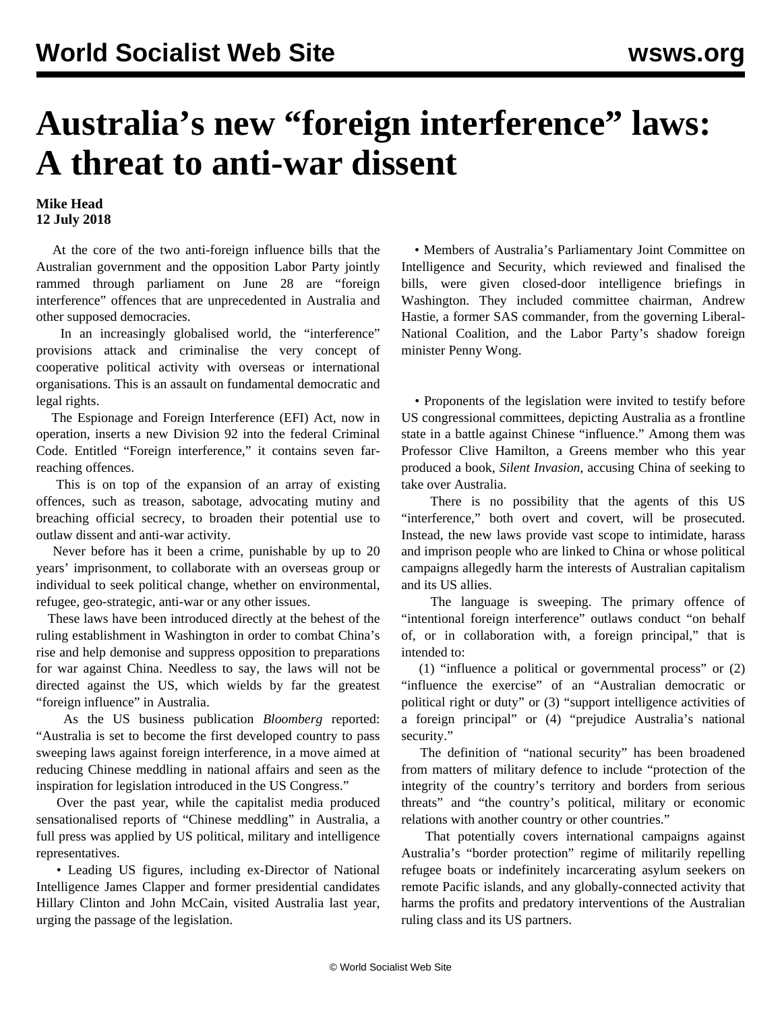## **Australia's new "foreign interference" laws: A threat to anti-war dissent**

## **Mike Head 12 July 2018**

 At the core of the two anti-foreign influence bills that the Australian government and the opposition Labor Party jointly rammed through parliament on June 28 are "foreign interference" offences that are unprecedented in Australia and other supposed democracies.

 In an increasingly globalised world, the "interference" provisions attack and criminalise the very concept of cooperative political activity with overseas or international organisations. This is an assault on fundamental democratic and legal rights.

 The Espionage and Foreign Interference (EFI) Act, now in operation, inserts a new Division 92 into the federal Criminal Code. Entitled "Foreign interference," it contains seven farreaching offences.

 This is on top of the expansion of an array of existing offences, such as treason, sabotage, advocating mutiny and breaching official secrecy, to broaden their potential use to outlaw dissent and anti-war activity.

 Never before has it been a crime, punishable by up to 20 years' imprisonment, to collaborate with an overseas group or individual to seek political change, whether on environmental, refugee, geo-strategic, anti-war or any other issues.

 These laws have been introduced directly at the behest of the ruling establishment in Washington in order to combat China's rise and help demonise and suppress opposition to preparations for war against China. Needless to say, the laws will not be directed against the US, which wields by far the greatest "foreign influence" in Australia.

 As the US business publication *Bloomberg* reported: "Australia is set to become the first developed country to pass sweeping laws against foreign interference, in a move aimed at reducing Chinese meddling in national affairs and seen as the inspiration for legislation introduced in the US Congress."

 Over the past year, while the capitalist media produced sensationalised reports of "Chinese meddling" in Australia, a full press was applied by US political, military and intelligence representatives.

 • Leading US figures, including ex-Director of National Intelligence James Clapper and former presidential candidates Hillary Clinton and John McCain, visited Australia last year, urging the passage of the legislation.

 • Members of Australia's Parliamentary Joint Committee on Intelligence and Security, which reviewed and finalised the bills, were given closed-door intelligence briefings in Washington. They included committee chairman, Andrew Hastie, a former SAS commander, from the governing Liberal-National Coalition, and the Labor Party's shadow foreign minister Penny Wong.

 • Proponents of the legislation were invited to testify before US congressional committees, depicting Australia as a frontline state in a battle against Chinese "influence." Among them was Professor Clive Hamilton, a Greens member who this year produced a book, *Silent Invasion*, accusing China of seeking to take over Australia.

 There is no possibility that the agents of this US "interference," both overt and covert, will be prosecuted. Instead, the new laws provide vast scope to intimidate, harass and imprison people who are linked to China or whose political campaigns allegedly harm the interests of Australian capitalism and its US allies.

 The language is sweeping. The primary offence of "intentional foreign interference" outlaws conduct "on behalf of, or in collaboration with, a foreign principal," that is intended to:

 (1) "influence a political or governmental process" or (2) "influence the exercise" of an "Australian democratic or political right or duty" or (3) "support intelligence activities of a foreign principal" or (4) "prejudice Australia's national security."

 The definition of "national security" has been broadened from matters of military defence to include "protection of the integrity of the country's territory and borders from serious threats" and "the country's political, military or economic relations with another country or other countries."

 That potentially covers international campaigns against Australia's "border protection" regime of militarily repelling refugee boats or indefinitely incarcerating asylum seekers on remote Pacific islands, and any globally-connected activity that harms the profits and predatory interventions of the Australian ruling class and its US partners.